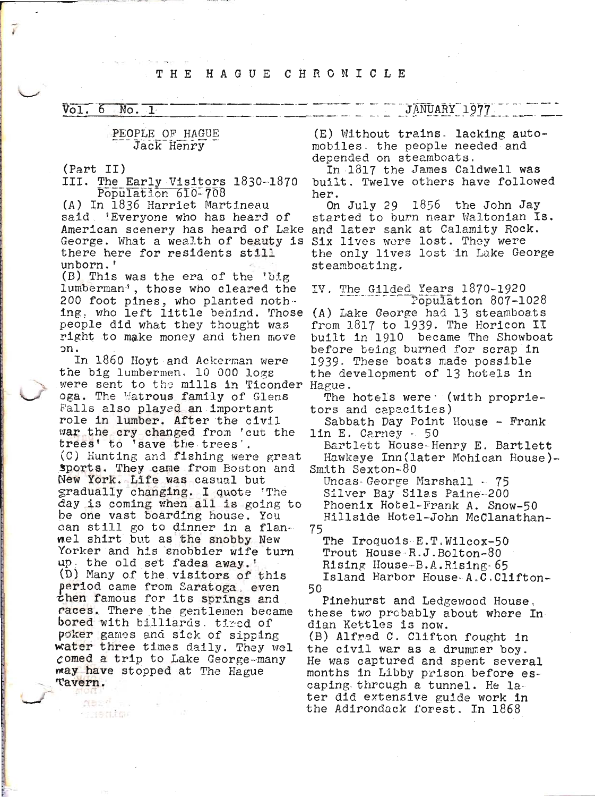## THE HAGUE CHRONICLE

 $\overline{Vol.6}$  $No. 1$ 

## PEOPLE OF HAGUE Jack Henry

(Part II)

ý

III. The Early Visitors 1830-1870 Population 610-708

(A) In 1836 Harriet Martineau said 'Everyone who has heard of American scenery has heard of Lake George. What a wealth of beauty is Six lives were lost. They were there here for residents still unborn.'

(B) This was the era of the 'big lumberman<sup>4</sup>, those who cleared the 200 foot pines, who planted nothing, who left little behind. Those people did what they thought was right to make money and then move on.

In 1860 Hoyt and Ackerman were the big lumbermen. 10 000 logs were sent to the mills in Ticonder Hague. oga. The Matrous family of Glens Falls also played an important role in lumber. After the civil war the cry changed from 'cut the trees' to 'save the trees'. (C) Hunting and fishing were great sports. They came from Boston and New York. Life was casual but gradually changing. I quote 'The day is coming when all is going to be one vast boarding house. You can still go to dinner in a flannel shirt but as the snobby New Yorker and his snobbier wife turn up. the old set fades away.' (D) Many of the visitors of this period came from Saratoga, even then famous for its springs and races. There the gentlemen became bored with billiards. tired of poker games and sick of sipping water three times daily. They wel comed a trip to Lake George-many way have stopped at The Hague Tavern.

**NEEW F.** 

**Surentme** 

(E) Without trains. lacking automobiles the people needed and depended on steamboats.

In 1817 the James Caldwell was built. Twelve others have followed her.

1856 the John Jay On July 29 started to burn near Waltonian Is. and later sank at Calamity Rock. the only lives lost in Lake George steamboating.

IV. The Gilded Years 1870-1920 Population 807-1028 (A) Lake George had 13 steamboats from 1817 to 1939. The Horicon II built in 1910 became The Showboat before being burned for scrap in 1939. These boats made possible the development of 13 hotels in

The hotels were (with proprietors and capacities)

Sabbath Day Point House - Frank 1in E. Carney - 50

Bartlett House-Henry E. Bartlett Hawkeye Inn (later Mohican House)-Smith Sexton-80

Uncas-George Marshall - 75 Silver Bay Silas Paine-200 Phoenix Hotel-Frank A. Snow-50 Hillside Hotel-John McClanathan-75

The Iroquois E.T.Wilcox-50 Trout House R.J.Bolton-80 Rising House-B.A.Rising-65 Island Harbor House A.C.Clifton-50

Pinehurst and Ledgewood House, these two probably about where In dian Kettles is now.

(B) Alfred C. Clifton fought in the civil war as a drummer boy. He was captured and spent several months in Libby prison before escaping through a tunnel. He later did extensive guide work in the Adirondack forest. In 1868

JANUARY 1977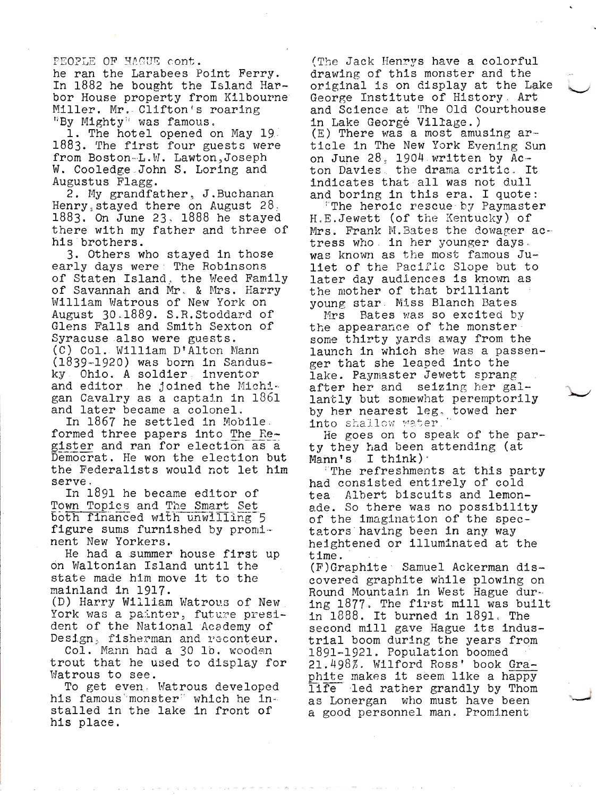PEOPLE OF HAGUE cont.

he ran the Larabees Point Ferry. In 1882 he bought the Island Harbor House property from Kilbourne Miller. Mr. Clifton's roaring "By Mighty" was famous.

1. The hotel opened on May 19. 1883. The first four guests were from Boston-L.W. Lawton, Joseph W. Cooledge John S. Loring and Augustus Flagg.

2. My grandfather, J.Buchanan Henry stayed there on August  $28.$ 1883. On June 23, 1888 he stayed there with my father and three of his brothers.

3. Others who stayed in those early days were The Robinsons of Staten Island, the Weed Family of Savannah and Mr. & Mrs. Harry William Watrous of New York on August 30.1889. S.R.Stoddard of Glens Falls and Smith Sexton of Syracuse also were guests. (C) Col. William D'Alton Mann  $(1839 - 1920)$  was born in Sandusky Ohio. A soldier inventor and editor he joined the Michigan Cavalry as a captain in 1861 and later became a colonel.

In 1867 he settled in Mobile. formed three papers into The Register and ran for election as a Democrat. He won the election but the Federalists would not let him serve.

In 1891 he became editor of Town Topics and The Smart Set both financed with unwilling 5 figure sums furnished by prominent New Yorkers.

He had a summer house first up on Waltonian Island until the state made him move it to the mainland in 1917.

(D) Harry William Watrous of New York was a painter, future president of the National Academy of Design, fisherman and reconteur.

Col. Mann had a 30 lb. wooden trout that he used to display for Watrous to see.

To get even. Watrous developed his famous monster" which he installed in the lake in front of his place.

(The Jack Henrys have a colorful drawing of this monster and the original is on display at the Lake George Institute of History Art and Science at The Old Courthouse in Lake George Village.) (E) There was a most amusing article in The New York Evening Sun on June 28, 1904 written by Acton Davies the drama critic. It indicates that all was not dull and boring in this era. I quote:

The heroic rescue by Paymaster H.E. Jewett (of the Kentucky) of Mrs. Frank M. Bates the dowager actress who in her younger days. was known as the most famous Juliet of the Pacific Slope but to later day audiences is known as the mother of that brilliant voung star. Miss Blanch Bates

Bates was so excited by Mrs the appearance of the monster some thirty yards away from the launch in which she was a passenger that she leaped into the lake. Paymaster Jewett sprang after her and seizing her gallantly but somewhat peremptorily by her nearest leg, towed her into shallow water.

He goes on to speak of the party they had been attending (at  $Mann's I think$ .

The refreshments at this party had consisted entirely of cold tea Albert biscuits and lemonade. So there was no possibility of the imagination of the spectators having been in any way heightened or illuminated at the time.

(F)Graphite Samuel Ackerman discovered graphite while plowing on Round Mountain in West Hague during 1877. The first mill was built in 1888. It burned in 1891. The second mill gave Hague its industrial boom during the years from 1891-1921. Population boomed 21.498%. Wilford Ross' book Graphite makes it seem like a happy life led rather grandly by Thom as Lonergan who must have been a good personnel man. Prominent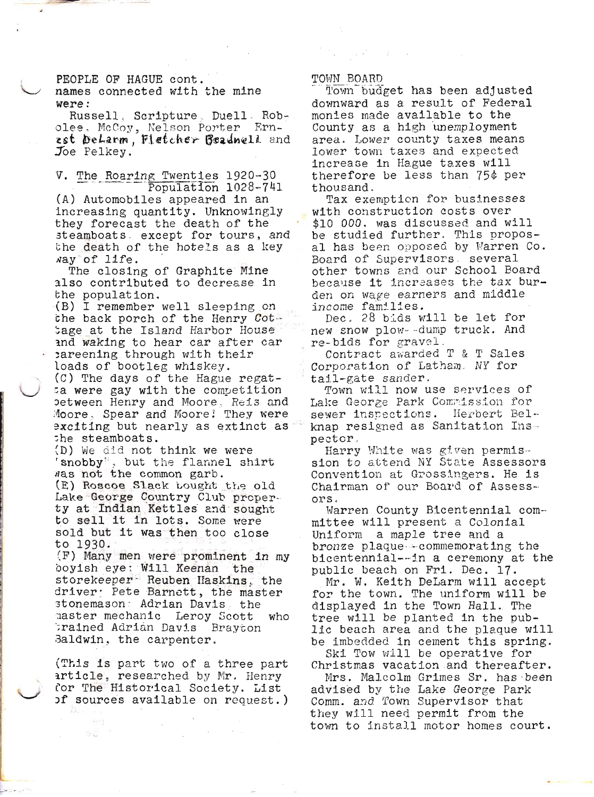PEOPLE OF HAGUE cont.

names connected with the mine were:

Russell, Scripture, Duell, Robolee. McCoy, Nelson Porter Ernest DeLarm, Fletcher Beadnell and Joe Pelkey.

The Roaring Twenties 1920-30 V. Population 1028-741

(A) Automobiles appeared in an increasing quantity. Unknowingly they forecast the death of the steamboats except for tours, and the death of the hotels as a key way of life.

The closing of Graphite Mine also contributed to decrease in the population.

(B) I remember well sleeping on the back porch of the Henry Cottage at the Island Harbor House and waking to hear car after car careening through with their loads of bootleg whiskey.

(C) The days of the Hague regata were gay with the competition between Henry and Moore, Reis and Moore, Spear and Moore! They were exciting but nearly as extinct as the steamboats.

(D) We did not think we were 'snobby", but the flannel shirt was not the common garb.

(E) Roscoe Slack bought the old Lake George Country Club property at Indian Kettles and sought to sell it in lots. Some were sold but it was then too close to 1930.

(F) Many men were prominent in my boyish eye: Will Keenan the storekeeper Reuben Haskins, the driver: Pete Barnett, the master stonemason: Adrian Davis, the master mechanic Leroy Scott who trained Adrian Davis Brayton Baldwin, the carpenter.

(This is part two of a three part article, researched by Mr. Henry for The Historical Society. List of sources available on request.) 33.5

Sü.

## TOWN BOARD

Town budget has been adjusted downward as a result of Federal monies made available to the County as a high unemployment area. Lower county taxes means lower town taxes and expected increase in Hague taxes will therefore be less than 75¢ per thousand.

Tax exemption for businesses with construction costs over \$10 000. was discussed and will be studied further. This proposal has been opposed by Warren Co. Board of Supervisors several other towns and our School Board because it increases the tax burden on wage earners and middle income families.

Dec. 28 bids will be let for new snow plow--dump truck. And re-bids for gravel.

Contract awarded T & T Sales Corporation of Latham. NY for tail-gate sander.

Town will now use services of Lake George Park Commission for sewer inspections. Herbert Belknap resigned as Sanitation Inspector.

Harry White was given permission to attend NY State Assessors Convention at Grossingers. He is Chairman of our Board of Assessors.

Warren County Bicentennial committee will present a Colonial Uniform a maple tree and a bronze plaque commemorating the bicentennial--in a ceremony at the public beach on Fri. Dec. 17.

Mr. W. Keith DeLarm will accept for the town. The uniform will be displayed in the Town Hall. The tree will be planted in the public beach area and the plaque will be imbedded in cement this spring. Ski Tow will be operative for

Christmas vacation and thereafter.

Mrs. Malcolm Grimes Sr. has been advised by the Lake George Park Comm. and Town Supervisor that they will need permit from the town to install motor homes court.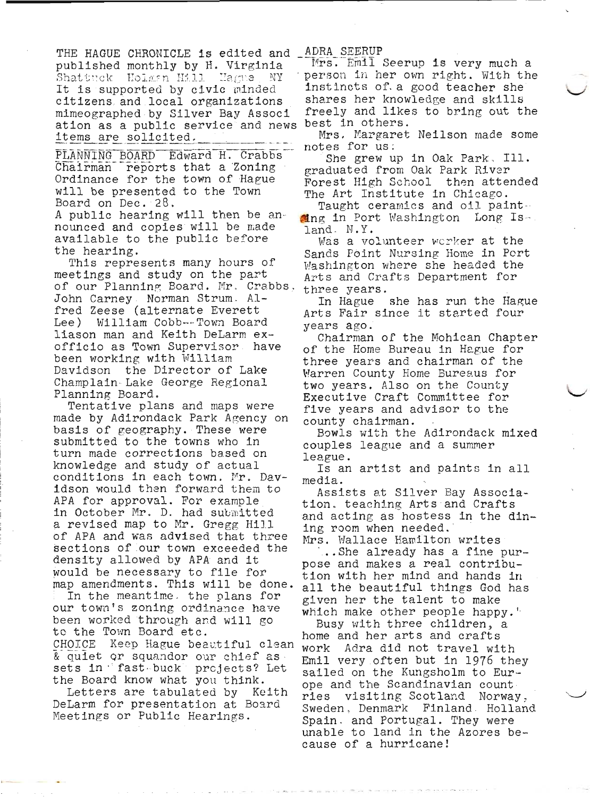THE HAGUE CHRONICLE is edited and published monthly by H. Virginia Shattuck - Holmsn Hill - Hagne It is supported by civic minded citizens and local organizations mimeographed by Silver Bay Associ ation as a public service and news items are solicited.

PLANNING BOARD Edward H. Crabbs Chairman reports that a Zoning Ordinance for the town of Hague will be presented to the Town Board on Dec. 28. A public hearing will then be announced and copies will be made available to the public before the hearing.

This represents many hours of meetings and study on the part of our Planning Board. Mr. Crabbs, John Carney Norman Strum Alfred Zeese (alternate Everett William Cobb--Town Board Lee) liason man and Keith DeLarm exofficio as Town Supervisor have been working with William Davidson the Director of Lake Champlain Lake George Regional Planning Board.

Tentative plans and maps were made by Adirondack Park Agency on basis of geography. These were submitted to the towns who in turn made corrections based on knowledge and study of actual conditions in each town. Mr. Davidson would then forward them to APA for approval. For example in October Mr. D. had submitted a revised map to Mr. Gregg Hill of APA and was advised that three sections of our town exceeded the density allowed by APA and it would be necessary to file for map amendments. This will be done.

In the meantime. the plans for our town's zoning ordinance have been worked through and will go to the Town Board etc. CHOICE Keep Hague beautiful clean

& quiet or squandor our chief as sets in fast buck projects? Let the Board know what you think.

Letters are tabulated by Keith DeLarm for presentation at Board Meetings or Public Hearings.

ADRA SEERUP

Mrs. Emil Seerup is very much a person in her own right. With the instincts of a good teacher she shares her knowledge and skills freely and likes to bring out the best in others.

Mrs. Margaret Neilson made some notes for us:

She grew up in Oak Park, Ill. graduated from Oak Park River Forest High School then attended The Art Institute in Chicago.

Taught ceramics and oil paint. Ming in Port Washington Long Is- $\mathtt{land}$ . N.Y.

Was a volunteer worker at the Sands Point Nursing Home in Port Washington where she headed the Arts and Crafts Department for three years.

In Hague she has run the Hague Arts Fair since it started four years ago.

Chairman of the Mohican Chapter of the Home Bureau in Hague for three years and chairman of the Warren County Home Bureaus for two years. Also on the County Executive Craft Committee for five years and advisor to the county chairman.

Bowls with the Adirondack mixed couples league and a summer league.

Is an artist and paints in all media.

Assists at Silver Bay Association. teaching Arts and Crafts and acting as hostess in the dining room when needed.

Mrs. Wallace Hamilton writes .. She already has a fine pur-

pose and makes a real contribution with her mind and hands in all the beautiful things God has given her the talent to make which make other people happy."

Busy with three children, a home and her arts and crafts work Adra did not travel with Emil very often but in 1976 they sailed on the Kungsholm to Europe and the Scandinavian count ries visiting Scotland Norway, Sweden, Denmark Finland Holland Spain, and Portugal. They were unable to land in the Azores because of a hurricane!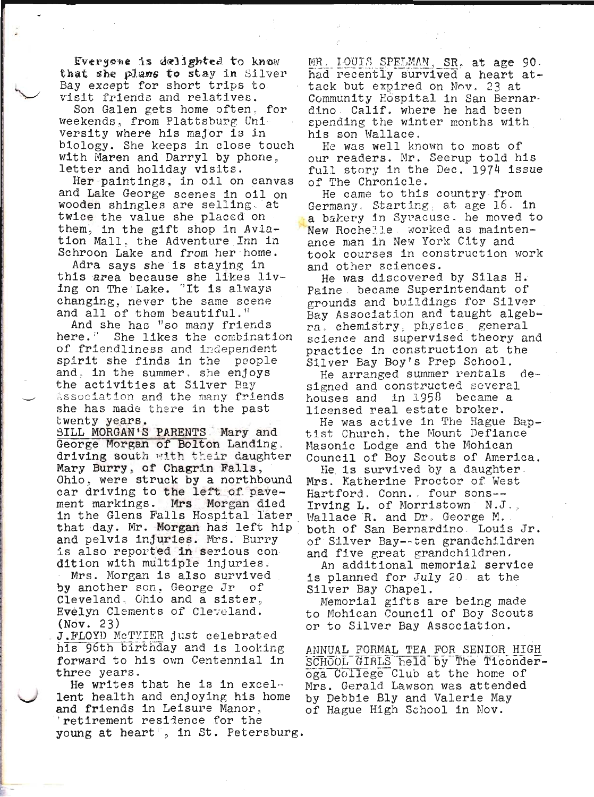Everyone is delighted to know that she plane to stay in Silver Bay except for short trips to visit friends and relatives.

Son Galen gets home often, for weekends, from Plattsburg University where his major is in biology. She keeps in close touch with Maren and Darryl by phone, letter and holiday visits.

Her paintings, in oil on canvas and Lake George scenes in oil on wooden shingles are selling at twice the value she placed on them, in the gift shop in Aviation Mall, the Adventure Inn in Schroon Lake and from her home.

Adra says she is staying in this area because she likes living on The Lake. "It is always changing, never the same scene and all of them beautiful."

And she has "so many friends here." She likes the combination of friendliness and independent spirit she finds in the people and, in the summer, she enjoys the activities at Silver Bay Association and the many friends she has made there in the past twenty years.

SILL MORGAN'S PARENTS Mary and George Morgan of Bolton Landing. driving south with their daughter Mary Burry, of Chagrin Falls, Ohio. were struck by a northbound car driving to the left of pave-Mrs Morgan died ment markings. in the Glens Falls Hospital later that day. Mr. Morgan has left hip and pelvis injuries. Mrs. Burry is also reported in serious con dition with multiple injuries. Mrs. Morgan is also survived by another son, George Jr оf Cleveland, Ohio and a sister,

Evelyn Clements of Cleveland.  $(Nov. 23)$ J. FLOYD McTYIER just celebrated

his 96th birthday and is looking forward to his own Centennial in three years.

He writes that he is in excellent health and enjoying his home and friends in Leisure Manor. retirement residence for the young at heart", in St. Petersburg.

MR. LOUIS SPELMAN, SR. at age 90. had recently survived a heart attack but expired on Nov. 23 at Community Hospital in San Bernardino Calif. where he had been spending the winter months with his son Wallace.

He was well known to most of our readers. Mr. Seerup told his full story in the Dec. 1974 issue of The Chronicle.

He came to this country from Germany. Starting, at age 16. in a bakery in Syracuse. he moved to New Rochelle worked as maintenance man in New York City and took courses in construction work and other sciences.

He was discovered by Silas H. Paine, became Superintendant of grounds and buildings for Silver Bay Association and taught algebra chemistry physics general science and supervised theory and practice in construction at the Silver Bay Boy's Prep School.

He arranged summer rentals designed and constructed several houses and in 1958 became a licensed real estate broker.

He was active in The Hague Baptist Church. the Mount Defiance Masonic Lodge and the Mohican Council of Boy Scouts of America.

He is survived by a daughter Mrs. Katherine Proctor of West Hartford. Conn. four sons--Irving L. of Morristown N.J.. Wallace R. and Dr. George M. both of San Bernardino. Louis Jr. of Silver Bay--ten grandchildren and five great grandchildren.

An additional memorial service is planned for July 20 at the Silver Bay Chapel.

Memorial gifts are being made to Mohican Council of Boy Scouts or to Silver Bay Association.

ANNUAL FORMAL TEA FOR SENIOR HIGH SCHOOL GIRLS held by The Ticonderoga College Club at the home of Mrs. Gerald Lawson was attended by Debbie Bly and Valerie May of Hague High School in Nov.